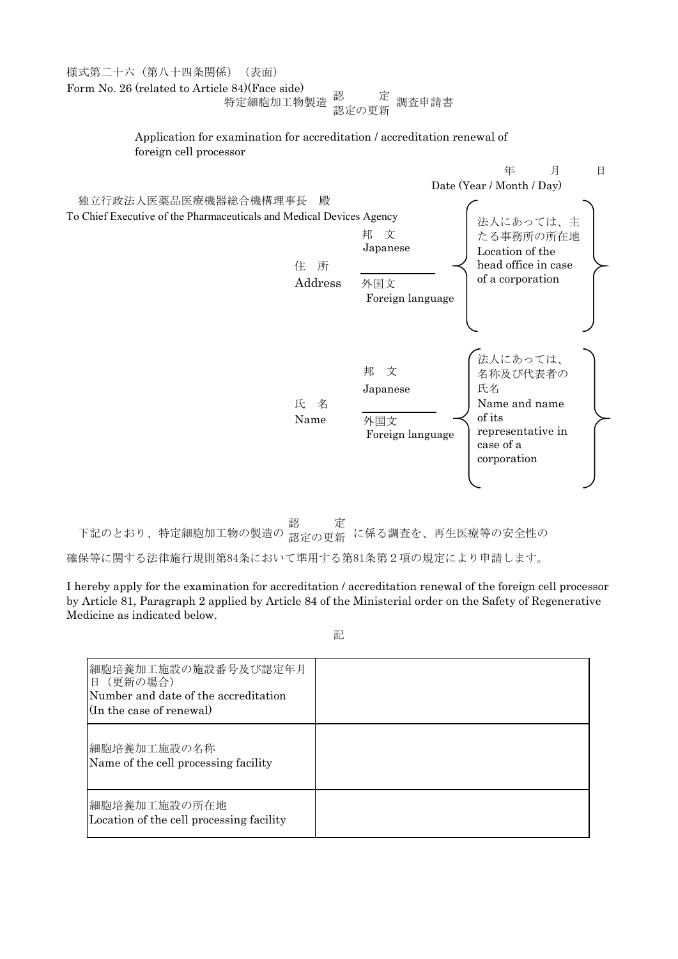様式第二十六(第八十四条関係)(表面) Form No. 26 (related to Article 84)(Face side) 特定細胞加工物製造 調査申請書 認 定 認定の更新

> Application for examination for accreditation / accreditation renewal of foreign cell processor



下記のとおり、特定細胞加工物の製造の 第 <sub>安の 再</sub>年 に係る調査を、再生医療等の安全性の 認 定 認定の更新

確保等に関する法律施行規則第84条において準用する第81条第2項の規定により申請します。

I hereby apply for the examination for accreditation / accreditation renewal of the foreign cell processor by Article 81, Paragraph 2 applied by Article 84 of the Ministerial order on the Safety of Regenerative Medicine as indicated below.

記

| 細胞培養加工施設の施設番号及び認定年月<br>日 (更新の場合)<br>Number and date of the accreditation<br>(In the case of renewal) |  |
|------------------------------------------------------------------------------------------------------|--|
| 細胞培養加工施設の名称<br>Name of the cell processing facility                                                  |  |
| 細胞培養加工施設の所在地<br>Location of the cell processing facility                                             |  |